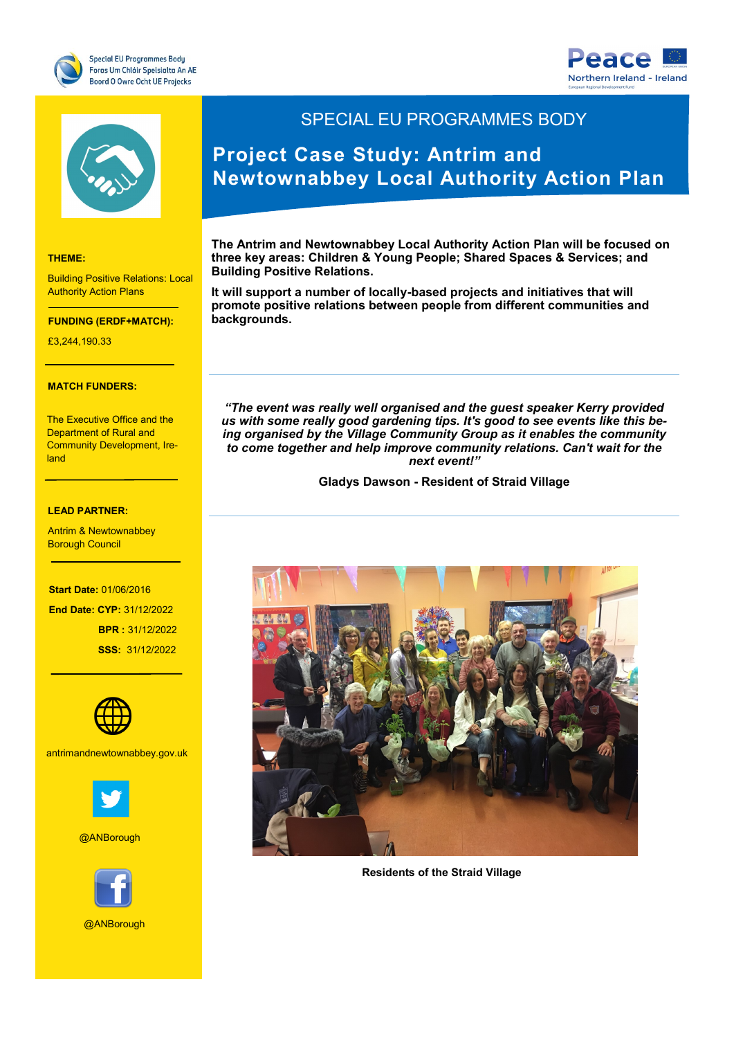





#### **THEME:**

Building Positive Relations: Local Authority Action Plans

#### **FUNDING (ERDF+MATCH):**

**THEME:** £3,244,190.33

#### **MATCH FUNDERS:**

The Executive Office and the Department of Rural and Community Development, Ireland

#### **LEAD PARTNER:**

Borough Council Antrim & Newtownabbey

**Start Date: 01/06/2016** - The South West  **BPR :** 31/12/2022 of Scotland **SSS:** 31/12/2022  **End Date: CYP:** 31/12/2022



antrimandnewtownabbey.gov.uk



**Social Media:** @ANBorough



# SPECIAL EU PROGRAMMES BODY

# **Project Case Study: Antrim and Newtownabbey Local Authority Action Plan**

**The Antrim and Newtownabbey Local Authority Action Plan will be focused on three key areas: Children & Young People; Shared Spaces & Services; and Building Positive Relations.**

**It will support a number of locally-based projects and initiatives that will promote positive relations between people from different communities and backgrounds.**

*"The event was really well organised and the guest speaker Kerry provided us with some really good gardening tips. It's good to see events like this being organised by the Village Community Group as it enables the community to come together and help improve community relations. Can't wait for the next event!"*

**Gladys Dawson - Resident of Straid Village**



**Residents of the Straid Village**